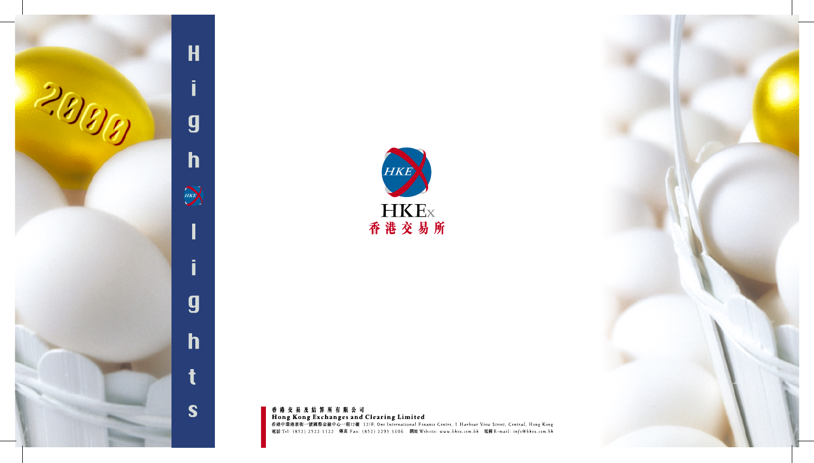





香港交易及結算所有限公司 Hong Kong Exchanges and Clearing Limited<br>香港中環港景街一號國際金融中心一期12樓 12/F, One International Finance Centre, 1 Harbour View Street, Central, Hong Kong 電話 Tel: (852) 2522 1122 傳真 Fax: (852) 2295 3106 網址 Website: www.bkex.com.bk 電郵 E-mail: info@bkex.com.bk